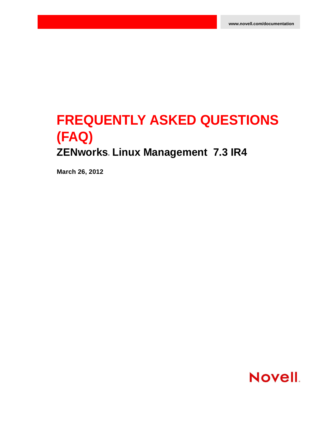# **FREQUENTLY ASKED QUESTIONS (FAQ) ZENworks. Linux Management 7.3 IR4**

**March 26, 2012**

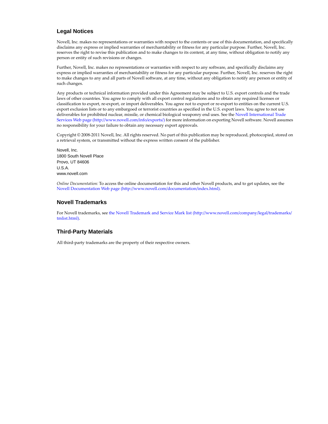#### **Legal Notices**

Novell, Inc. makes no representations or warranties with respect to the contents or use of this documentation, and specifically disclaims any express or implied warranties of merchantability or fitness for any particular purpose. Further, Novell, Inc. reserves the right to revise this publication and to make changes to its content, at any time, without obligation to notify any person or entity of such revisions or changes.

Further, Novell, Inc. makes no representations or warranties with respect to any software, and specifically disclaims any express or implied warranties of merchantability or fitness for any particular purpose. Further, Novell, Inc. reserves the right to make changes to any and all parts of Novell software, at any time, without any obligation to notify any person or entity of such changes.

Any products or technical information provided under this Agreement may be subject to U.S. export controls and the trade laws of other countries. You agree to comply with all export control regulations and to obtain any required licenses or classification to export, re‐export, or import deliverables. You agree not to export or re‐export to entities on the current U.S. export exclusion lists or to any embargoed or terrorist countries as specified in the U.S. export laws. You agree to not use deliverables for prohibited nuclear, missile, or chemical biological weaponry end uses. See the Novell [International](http://www.novell.com/info/exports/) Trade [Services](http://www.novell.com/info/exports/) Web page (http://www.novell.com/info/exports/) for more information on exporting Novell software. Novell assumes no responsibility for your failure to obtain any necessary export approvals.

Copyright © 2008‐2011 Novell, Inc. All rights reserved. No part of this publication may be reproduced, photocopied, stored on a retrieval system, or transmitted without the express written consent of the publisher.

Novell, Inc. 1800 South Novell Place Provo, UT 84606 U.S.A. www.novell.com

*Online Documentation:* To access the online documentation for this and other Novell products, and to get updates, see the Novell [Documentation](http://www.novell.com/documentation/index.html) Web page (http://www.novell.com/documentation/index.html).

#### **Novell Trademarks**

For Novell trademarks, see the Novell [Trademark](http://www.novell.com/company/legal/trademarks/tmlist.html) and Service Mark list (http://www.novell.com/company/legal/trademarks/ tmlist.html).

#### **Third-Party Materials**

All third‐party trademarks are the property of their respective owners.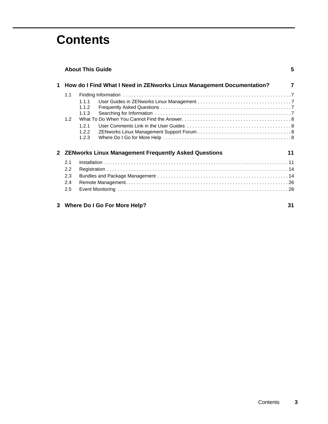# **Contents**

|   |                                                              | <b>About This Guide</b>                                               | 5              |
|---|--------------------------------------------------------------|-----------------------------------------------------------------------|----------------|
| 1 |                                                              | How do I Find What I Need in ZENworks Linux Management Documentation? | $\overline{7}$ |
|   | 1.1                                                          |                                                                       |                |
|   |                                                              | 1.1.1                                                                 |                |
|   |                                                              | 1.1.2                                                                 |                |
|   |                                                              | 1.1.3                                                                 |                |
|   | 1.2                                                          |                                                                       |                |
|   |                                                              | 121                                                                   |                |
|   |                                                              | 1.2.2                                                                 |                |
|   |                                                              | 1.2.3                                                                 |                |
|   | 2 ZENworks Linux Management Frequently Asked Questions<br>11 |                                                                       |                |
|   | 2.1                                                          |                                                                       |                |
|   | 2.2                                                          |                                                                       |                |
|   | 2.3                                                          |                                                                       |                |
|   | 2.4                                                          |                                                                       |                |
|   | 2.5                                                          |                                                                       |                |
|   |                                                              | 3 Where Do I Go For More Help?                                        | 31             |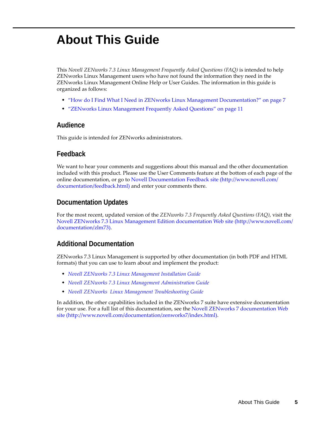# <span id="page-4-0"></span>**About This Guide**

This *Novell ZENworks 7.3 Linux Management Frequently Asked Questions (FAQ)* is intended to help ZENworks Linux Management users who have not found the information they need in the ZENworks Linux Management Online Help or User Guides. The information in this guide is organized as follows:

- "How do I Find What I Need in ZENworks Linux Management [Documentation?"](#page-6-5) on page 7
- "ZENworks Linux [Management](#page-10-2) Frequently Asked Questions" on page 11

#### **Audience**

This guide is intended for ZENworks administrators.

#### **Feedback**

We want to hear your comments and suggestions about this manual and the other documentation included with this product. Please use the User Comments feature at the bottom of each page of the online documentation, or go to Novell [Documentation](http://www.novell.com/documentation/feedback.html) Feedback site (http://www.novell.com/ documentation/feedback.html) and enter your comments there.

#### **Documentation Updates**

For the most recent, updated version of the *ZENworks 7.3 Frequently Asked Questions (FAQ)*, visit the Novell ZENworks 7.3 Linux Management Edition [documentation](http://www.novell.com/documentation/zlm73) Web site (http://www.novell.com/ documentation/zlm73).

#### **Additional Documentation**

ZENworks 7.3 Linux Management is supported by other documentation (in both PDF and HTML formats) that you can use to learn about and implement the product:

- *Novell ZENworks 7.3 Linux Management Installation Guide*
- *Novell ZENworks 7.3 Linux Management Administration Guide*
- *Novell ZENworks Linux Management Troubleshooting Guide*

In addition, the other capabilities included in the ZENworks 7 suite have extensive documentation for your use. For a full list of this documentation, see the Novell ZENworks 7 [documentation](http://www.novell.com/documentation/zenworks7/index.html) Web [site](http://www.novell.com/documentation/zenworks7/index.html) (http://www.novell.com/documentation/zenworks7/index.html).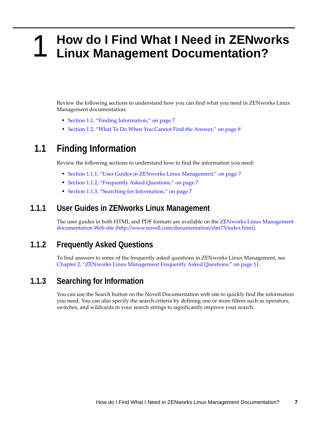## <span id="page-6-0"></span>1 <sup>1</sup>**How do I Find What I Need in ZENworks Linux Management Documentation?**

<span id="page-6-5"></span>Review the following sections to understand how you can find what you need in ZENworks Linux Management documentation:

- Section 1.1, "Finding [Information,"](#page-6-1) on page 7
- [Section 1.2,](#page-7-0) "What To Do When You Cannot Find the Answer," on page 8

# <span id="page-6-1"></span>**1.1 Finding Information**

Review the following sections to understand how to find the information you need:

- Section 1.1.1, "User Guides in ZENworks Linux [Management,"](#page-6-2) on page 7
- [Section 1.1.2,](#page-6-3) "Frequently Asked Questions," on page 7
- Section 1.1.3, "Searching for [Information,"](#page-6-4) on page 7

#### <span id="page-6-2"></span>**1.1.1 User Guides in ZENworks Linux Management**

The user guides in both HTML and PDF formats are available on the ZENworks Linux [Management](http://www.novell.com/documentation/zlm73/index.html) [documentation](http://www.novell.com/documentation/zlm73/index.html) Web site (http://www.novell.com/documentation/zlm73/index.html).

#### <span id="page-6-3"></span>**1.1.2 Frequently Asked Questions**

To find answers to some of the frequently asked questions in ZENworks Linux Management, see Chapter 2, "ZENworks Linux [Management](#page-10-2) Frequently Asked Questions," on page 11.

#### <span id="page-6-4"></span>**1.1.3 Searching for Information**

You can use the Search button on the Novell Documentation web site to quickly find the information you need. You can also specify the search criteria by defining one or more filters such as operators, switches, and wildcards in your search strings to significantly improve your search.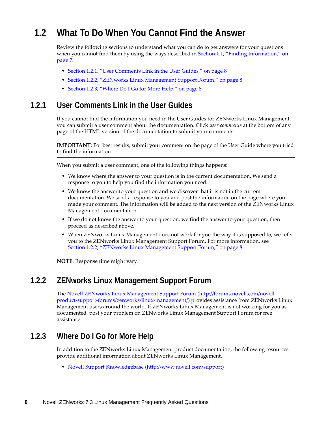# <span id="page-7-0"></span>**1.2 What To Do When You Cannot Find the Answer**

Review the following sections to understand what you can do to get answers for your questions when you cannot find them by using the ways described in Section 1.1, "Finding [Information,"](#page-6-1) on [page 7.](#page-6-1)

- [Section 1.2.1,](#page-7-1) "User Comments Link in the User Guides," on page 8
- Section 1.2.2, "ZENworks Linux [Management](#page-7-2) Support Forum," on page 8
- [Section 1.2.3,](#page-7-3) "Where Do I Go for More Help," on page 8

## <span id="page-7-1"></span>**1.2.1 User Comments Link in the User Guides**

If you cannot find the information you need in the User Guides for ZENworks Linux Management, you can submit a user comment about the documentation. Click *user comments* at the bottom of any page of the HTML version of the documentation to submit your comments.

**IMPORTANT**: For best results, submit your comment on the page of the User Guide where you tried to find the information.

When you submit a user comment, one of the following things happens:

- We know where the answer to your question is in the current documentation. We send a response to you to help you find the information you need.
- We know the answer to your question and we discover that it is not in the current documentation. We send a response to you and post the information on the page where you made your comment. The information will be added to the next version of the ZENworks Linux Management documentation.
- If we do not know the answer to your question, we find the answer to your question, then proceed as described above.
- When ZENworks Linux Management does not work for you the way it is supposed to, we refer you to the ZENworks Linux Management Support Forum. For more information, see Section 1.2.2, "ZENworks Linux [Management](#page-7-2) Support Forum," on page 8.

**NOTE**: Response time might vary.

#### <span id="page-7-2"></span>**1.2.2 ZENworks Linux Management Support Forum**

The Novell ZENworks Linux [Management](http://forums.novell.com/novell-product-support-forums/zenworks/linux-management/) Support Forum (http://forums.novell.com/novell‐ product‐support‐forums/zenworks/linux‐management/) provides assistance from ZENworks Linux Management users around the world. If ZENworks Linux Management is not working for you as documented, post your problem on ZENworks Linux Management Support Forum for free assistance.

## <span id="page-7-3"></span>**1.2.3 Where Do I Go for More Help**

In addition to the ZENworks Linux Management product documentation, the following resources provide additional information about ZENworks Linux Management.

Novell Support [Knowledgebase](http://www.novell.com/support) (http://www.novell.com/support)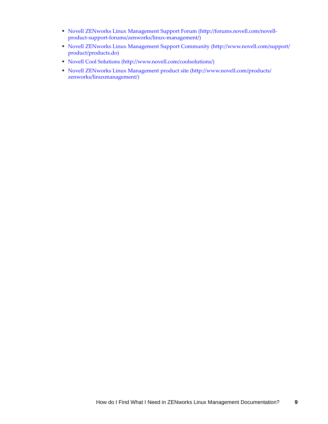- Novell ZENworks Linux [Management](http://forums.novell.com/novell-product-support-forums/zenworks/linux-management/) Support Forum (http://forums.novell.com/novell‐ product‐support‐forums/zenworks/linux‐management/)
- Novell ZENworks Linux [Management](http://www.novell.com/support/product/products.do) Support Community (http://www.novell.com/support/ product/products.do)
- Novell Cool [Solutions](http://www.novell.com/coolsolutions/) (http://www.novell.com/coolsolutions/)
- Novell ZENworks Linux [Management](http://www.novell.com/products/zenworks/linuxmanagement/) product site (http://www.novell.com/products/ zenworks/linuxmanagement/)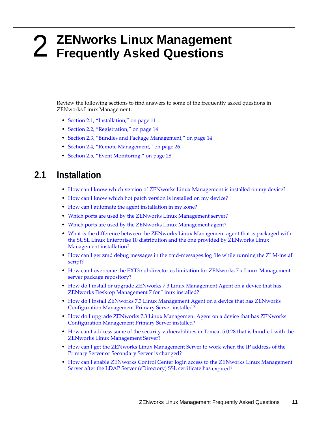# <span id="page-10-0"></span>2 <sup>2</sup>**ZENworks Linux Management Frequently Asked Questions**

<span id="page-10-2"></span>Review the following sections to find answers to some of the frequently asked questions in ZENworks Linux Management:

- Section 2.1, ["Installation,"](#page-10-1) on page 11
- Section 2.2, ["Registration,"](#page-13-0) on page 14
- Section 2.3, "Bundles and Package [Management,"](#page-13-1) on page 14
- Section 2.4, "Remote [Management,"](#page-25-0) on page 26
- Section 2.5, "Event [Monitoring,"](#page-27-0) on page 28

## <span id="page-10-1"></span>**2.1 Installation**

- How can I know which version of ZENworks Linux [Management](#page-11-0) is installed on my device?
- How can I know which hot patch version is [installed](#page-11-1) on my device?
- How can I automate the agent [installation](#page-11-2) in my zone?
- Which ports are used by the ZENworks Linux [Management](#page-11-3) server?
- Which ports are used by the ZENworks Linux [Management](#page-11-4) agent?
- What is the difference between the ZENworks Linux [Management](#page-11-6) agent that is packaged with the SUSE Linux Enterprise 10 [distribution](#page-11-6) and the one provided by ZENworks Linux [Management](#page-11-6) installation?
- ◆ How can I get zmd debug messages in the zmd-[messages.log](#page-11-5) file while running the ZLM-install [script?](#page-11-5)
- How can I overcome the EXT3 [subdirectories](#page-12-2) limitation for ZENworks 7.x Linux Management server package [repository?](#page-12-2)
- How do I install or upgrade ZENworks 7.3 Linux [Management](#page-12-0) Agent on a device that has ZENworks Desktop [Management](#page-12-0) 7 for Linux installed?
- How do I install ZENworks 7.3 Linux [Management](#page-12-1) Agent on a device that has ZENworks [Configuration](#page-12-1) Management Primary Server installed?
- How do I upgrade ZENworks 7.3 Linux [Management](#page-12-3) Agent on a device that has ZENworks [Configuration](#page-12-3) Management Primary Server installed?
- How can I address some of the security [vulnerabilities](#page-12-5) in Tomcat 5.0.28 that is bundled with the ZENworks Linux [Management](#page-12-5) Server?
- How can I get the ZENworks Linux [Management](#page-12-6) Server to work when the IP address of the Primary Server or [Secondary](#page-12-6) Server is changed?
- How can I enable ZENworks Control Center login access to the ZENworks Linux [Management](#page-12-4) Server after the LDAP Server [\(eDirectory\)](#page-12-4) SSL certificate has expired?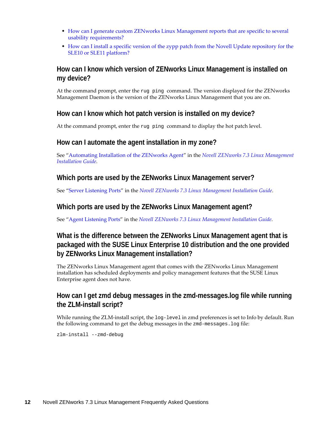- How can I generate custom ZENworks Linux [Management](#page-12-7) reports that are specific to several usability [requirements?](#page-12-7)
- How can I install a specific version of the zypp patch from the Novell Update [repository](#page-13-2) for the SLE10 or SLE11 [platform?](#page-13-2)

#### <span id="page-11-0"></span>**How can I know which version of ZENworks Linux Management is installed on my device?**

At the command prompt, enter the rug ping command. The version displayed for the ZENworks Management Daemon is the version of the ZENworks Linux Management that you are on.

#### <span id="page-11-1"></span>**How can I know which hot patch version is installed on my device?**

At the command prompt, enter the rug ping command to display the hot patch level.

#### <span id="page-11-2"></span>**How can I automate the agent installation in my zone?**

See "Automating Installation of the ZENworks Agent" in the *Novell ZENworks 7.3 Linux Management Installation Guide*.

#### <span id="page-11-3"></span>**Which ports are used by the ZENworks Linux Management server?**

See "Server Listening Ports" in the *Novell ZENworks 7.3 Linux Management Installation Guide*.

#### <span id="page-11-4"></span>**Which ports are used by the ZENworks Linux Management agent?**

See "Agent Listening Ports" in the *Novell ZENworks 7.3 Linux Management Installation Guide*.

#### <span id="page-11-6"></span>**What is the difference between the ZENworks Linux Management agent that is packaged with the SUSE Linux Enterprise 10 distribution and the one provided by ZENworks Linux Management installation?**

The ZENworks Linux Management agent that comes with the ZENworks Linux Management installation has scheduled deployments and policy management features that the SUSE Linux Enterprise agent does not have.

#### <span id="page-11-5"></span>**How can I get zmd debug messages in the zmd-messages.log file while running the ZLM-install script?**

While running the ZLM-install script, the  $log$ -level in zmd preferences is set to Info by default. Run the following command to get the debug messages in the zmd-messages.log file:

zlm-install --zmd-debug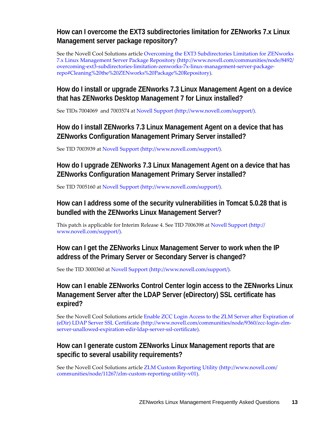#### <span id="page-12-2"></span>**How can I overcome the EXT3 subdirectories limitation for ZENworks 7.x Linux Management server package repository?**

See the Novell Cool Solutions article Overcoming the EXT3 [Subdirectories](http://www.novell.com/communities/node/8492/overcoming-ext3-subdirectories-limitation-zenworks-7x-linux-management-server-package-repo#Cleaning%20the%20ZENworks%20Package%20Repository) Limitation for ZENworks 7.x Linux [Management](http://www.novell.com/communities/node/8492/overcoming-ext3-subdirectories-limitation-zenworks-7x-linux-management-server-package-repo#Cleaning%20the%20ZENworks%20Package%20Repository) Server Package Repository (http://www.novell.com/communities/node/8492/ overcoming‐ext3‐subdirectories‐limitation‐zenworks‐7x‐linux‐management‐server‐package‐ repo#Cleaning%20the%20ZENworks%20Package%20Repository).

## <span id="page-12-0"></span>**How do I install or upgrade ZENworks 7.3 Linux Management Agent on a device that has ZENworks Desktop Management 7 for Linux installed?**

See TIDs 7004069 and 7003574 at Novell [Support](http://www.novell.com/support/) (http://www.novell.com/support/).

## <span id="page-12-1"></span>**How do I install ZENworks 7.3 Linux Management Agent on a device that has ZENworks Configuration Management Primary Server installed?**

See TID 7003939 at Novell [Support](http://www.novell.com/support/) (http://www.novell.com/support/).

#### <span id="page-12-3"></span>**How do I upgrade ZENworks 7.3 Linux Management Agent on a device that has ZENworks Configuration Management Primary Server installed?**

See TID 7005160 at Novell [Support](http://www.novell.com/support/) (http://www.novell.com/support/).

#### <span id="page-12-5"></span>**How can I address some of the security vulnerabilities in Tomcat 5.0.28 that is bundled with the ZENworks Linux Management Server?**

This patch is applicable for Interim Release 4. See TID 7006398 at Novell [Support](http://www.novell.com/support/) (http:// www.novell.com/support/).

#### <span id="page-12-6"></span>**How can I get the ZENworks Linux Management Server to work when the IP address of the Primary Server or Secondary Server is changed?**

See the TID 3000360 at Novell [Support](http://www.novell.com/support/) (http://www.novell.com/support/).

#### <span id="page-12-4"></span>**How can I enable ZENworks Control Center login access to the ZENworks Linux Management Server after the LDAP Server (eDirectory) SSL certificate has expired?**

See the Novell Cool Solutions article Enable ZCC Login Access to the ZLM Server after [Expiration](http://www.novell.com/communities/node/9360/zcc-login-zlm-server-unallowed-expiration-edir-ldap-server-ssl-certificate) of (eDir) LDAP Server SSL [Certificate](http://www.novell.com/communities/node/9360/zcc-login-zlm-server-unallowed-expiration-edir-ldap-server-ssl-certificate) (http://www.novell.com/communities/node/9360/zcc‐login‐zlm‐ server-unallowed-expiration-edir-ldap-server-ssl-certificate).

#### <span id="page-12-7"></span>**How can I generate custom ZENworks Linux Management reports that are specific to several usability requirements?**

See the Novell Cool Solutions article ZLM Custom [Reporting](http://www.novell.com/communities/node/11267/zlm-custom-reporting-utility-v01) Utility (http://www.novell.com/ communities/node/11267/zlm-custom-reporting-utility-v01).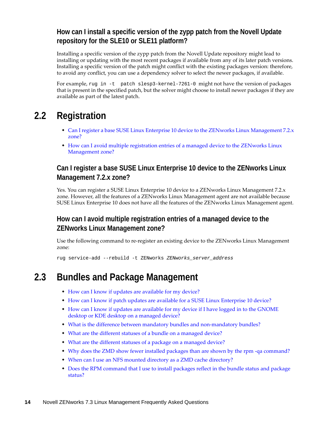#### <span id="page-13-2"></span>**How can I install a specific version of the zypp patch from the Novell Update repository for the SLE10 or SLE11 platform?**

Installing a specific version of the zypp patch from the Novell Update repository might lead to installing or updating with the most recent packages if available from any of its later patch versions. Installing a specific version of the patch might conflict with the existing packages version: therefore, to avoid any conflict, you can use a dependency solver to select the newer packages, if available.

For example, rug in -t patch slesp3-kernel-7261-0 might not have the version of packages that is present in the specified patch, but the solver might choose to install newer packages if they are available as part of the latest patch.

# <span id="page-13-0"></span>**2.2 Registration**

- Can I register a base SUSE Linux Enterprise 10 device to the ZENworks Linux [Management](#page-13-3) 7.2.x [zone?](#page-13-3)
- How can I avoid multiple [registration](#page-13-4) entries of a managed device to the ZENworks Linux [Management](#page-13-4) zone?

#### <span id="page-13-3"></span>**Can I register a base SUSE Linux Enterprise 10 device to the ZENworks Linux Management 7.2.x zone?**

Yes. You can register a SUSE Linux Enterprise 10 device to a ZENworks Linux Management 7.2.x zone. However, all the features of a ZENworks Linux Management agent are not available because SUSE Linux Enterprise 10 does not have all the features of the ZENworks Linux Management agent.

#### <span id="page-13-4"></span>**How can I avoid multiple registration entries of a managed device to the ZENworks Linux Management zone?**

Use the following command to re-register an existing device to the ZENworks Linux Management zone:

rug service-add --rebuild -t ZENworks *ZENworks\_server\_address*

# <span id="page-13-1"></span>**2.3 Bundles and Package Management**

- How can I know if updates are [available](#page-14-0) for my device?
- How can I know if patch updates are available for a SUSE Linux [Enterprise](#page-15-0) 10 device?
- How can I know if updates are [available](#page-15-1) for my device if I have logged in to the GNOME desktop or KDE desktop on a [managed](#page-15-1) device?
- What is the difference between [mandatory](#page-15-2) bundles and non‐mandatory bundles?
- What are the different statuses of a bundle on a [managed](#page-15-3) device?
- What are the different statuses of a package on a [managed](#page-15-4) device?
- Why does the ZMD show fewer installed packages than are shown by the rpm ‐qa [command?](#page-16-0)
- When can I use an NFS mounted directory as a ZMD cache [directory?](#page-16-1)
- Does the RPM [command](#page-16-2) that I use to install packages reflect in the bundle status and package [status?](#page-16-2)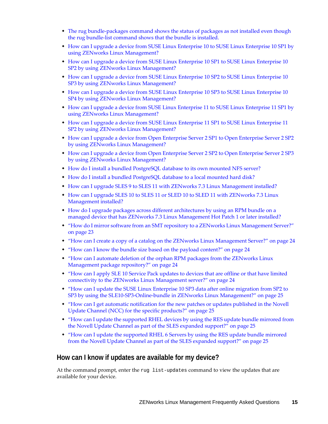- ◆ The rug bundle-packages [command](#page-16-3) shows the status of packages as not installed even though the rug bundle‐list [command](#page-16-3) shows that the bundle is installed.
- How can I upgrade a device from SUSE Linux Enterprise 10 to SUSE Linux [Enterprise](#page-16-4) 10 SP1 by using ZENworks Linux [Management?](#page-16-4)
- How can I upgrade a device from SUSE Linux [Enterprise](#page-17-0) 10 SP1 to SUSE Linux Enterprise 10 SP2 by using ZENworks Linux [Management?](#page-17-0)
- How can I upgrade a device from SUSE Linux [Enterprise](#page-17-1) 10 SP2 to SUSE Linux Enterprise 10 SP3 by using ZENworks Linux [Management?](#page-17-1)
- How can I upgrade a device from SUSE Linux [Enterprise](#page-18-0) 10 SP3 to SUSE Linux Enterprise 10 SP4 by using ZENworks Linux [Management?](#page-18-0)
- How can I upgrade a device from SUSE Linux Enterprise 11 to SUSE Linux [Enterprise](#page-19-0) 11 SP1 by using ZENworks Linux [Management?](#page-19-0)
- How can I upgrade a device from SUSE Linux [Enterprise](#page-20-1) 11 SP1 to SUSE Linux Enterprise 11 SP2 by using ZENworks Linux [Management?](#page-20-1)
- How can I upgrade a device from Open Enterprise Server 2 SP1 to Open [Enterprise](#page-20-0) Server 2 SP2 by using ZENworks Linux [Management?](#page-20-0)
- How can I upgrade a device from Open Enterprise Server 2 SP2 to Open [Enterprise](#page-21-2) Server 2 SP3 by using ZENworks Linux [Management?](#page-21-2)
- How do I install a bundled [PostgreSQL](#page-21-0) database to its own mounted NFS server?
- How do I install a bundled [PostgreSQL](#page-21-1) database to a local mounted hard disk?
- How can I upgrade SLES 9 to SLES 11 with ZENworks 7.3 Linux [Management](#page-22-3) installed?
- How can I upgrade SLES 10 to SLES 11 or SLED 10 to SLED 11 with [ZENworks](#page-22-0) 7.3 Linux [Management](#page-22-0) installed?
- How do I upgrade packages across different [architectures](#page-22-1) by using an RPM bundle on a managed device that has ZENworks 7.3 Linux [Management](#page-22-1) Hot Patch 1 or later installed?
- "How do I mirror software from an SMT repository to a ZENworks Linux [Management](#page-22-2) Server?" on [page 23](#page-22-2)
- "How can I create a copy of a catalog on the ZENworks Linux [Management](#page-23-1) Server?" on page 24
- "How can I know the bundle size based on the payload [content?"](#page-23-0) on page 24
- "How can I automate deletion of the orphan RPM packages from the [ZENworks](#page-23-2) Linux [Management](#page-23-2) package repository?" on page 24
- "How can I apply SLE 10 Service Pack [updates](#page-23-3) to devices that are offline or that have limited connectivity to the ZENworks Linux [Management](#page-23-3) server?" on page 24
- "How can I update the SUSE Linux [Enterprise](#page-24-1) 10 SP3 data after online migration from SP2 to SP3 by using the SLE10‐SP3‐Online‐bundle in ZENworks Linux [Management?"](#page-24-1) on page 25
- "How can I get automatic [notification](#page-24-0) for the new patches or updates published in the Novell Update Channel (NCC) for the specific [products?"](#page-24-0) on page 25
- "How can I update the [supported](#page-24-3) RHEL devices by using the RES update bundle mirrored from the Novell Update Channel as part of the SLES expanded [support?"](#page-24-3) on page 25
- "How can I update the [supported](#page-24-2) RHEL 6 Servers by using the RES update bundle mirrored from the Novell Update Channel as part of the SLES expanded [support?"](#page-24-2) on page 25

#### <span id="page-14-0"></span>**How can I know if updates are available for my device?**

At the command prompt, enter the rug list-updates command to view the updates that are available for your device.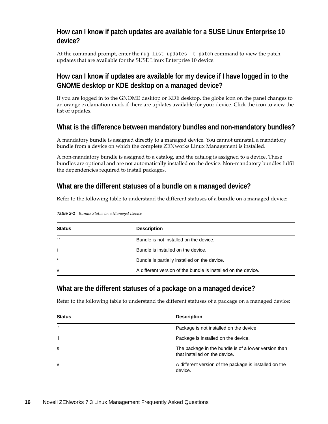#### <span id="page-15-0"></span>**How can I know if patch updates are available for a SUSE Linux Enterprise 10 device?**

At the command prompt, enter the rug list-updates -t patch command to view the patch updates that are available for the SUSE Linux Enterprise 10 device.

#### <span id="page-15-1"></span>**How can I know if updates are available for my device if I have logged in to the GNOME desktop or KDE desktop on a managed device?**

If you are logged in to the GNOME desktop or KDE desktop, the globe icon on the panel changes to an orange exclamation mark if there are updates available for your device. Click the icon to view the list of updates.

#### <span id="page-15-2"></span>**What is the difference between mandatory bundles and non-mandatory bundles?**

A mandatory bundle is assigned directly to a managed device. You cannot uninstall a mandatory bundle from a device on which the complete ZENworks Linux Management is installed.

A non‐mandatory bundle is assigned to a catalog, and the catalog is assigned to a device. These bundles are optional and are not automatically installed on the device. Non-mandatory bundles fulfil the dependencies required to install packages.

#### <span id="page-15-3"></span>**What are the different statuses of a bundle on a managed device?**

Refer to the following table to understand the different statuses of a bundle on a managed device:

| <b>Status</b> | <b>Description</b>                                            |
|---------------|---------------------------------------------------------------|
| $6 - 6$       | Bundle is not installed on the device.                        |
| j.            | Bundle is installed on the device.                            |
| $\star$       | Bundle is partially installed on the device.                  |
| $\mathsf{v}$  | A different version of the bundle is installed on the device. |

*Table 2-1 Bundle Status on a Managed Device*

#### <span id="page-15-4"></span>**What are the different statuses of a package on a managed device?**

Refer to the following table to understand the different statuses of a package on a managed device:

| <b>Status</b>  | <b>Description</b>                                                                    |
|----------------|---------------------------------------------------------------------------------------|
| 6 <sub>6</sub> | Package is not installed on the device.                                               |
|                | Package is installed on the device.                                                   |
| <b>S</b>       | The package in the bundle is of a lower version than<br>that installed on the device. |
| v              | A different version of the package is installed on the<br>device.                     |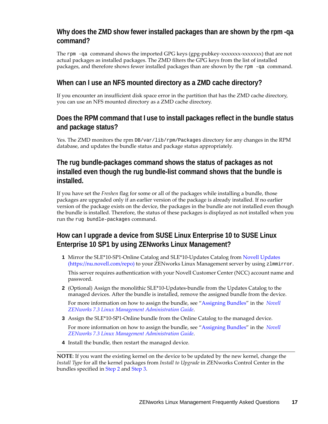#### <span id="page-16-0"></span>**Why does the ZMD show fewer installed packages than are shown by the rpm -qa command?**

The rpm  $-qa$  command shows the imported GPG keys (gpg-pubkey-xxxxxxx-xxxxxxx) that are not actual packages as installed packages. The ZMD filters the GPG keys from the list of installed packages, and therefore shows fewer installed packages than are shown by the rpm -qa command.

#### <span id="page-16-1"></span>**When can I use an NFS mounted directory as a ZMD cache directory?**

If you encounter an insufficient disk space error in the partition that has the ZMD cache directory, you can use an NFS mounted directory as a ZMD cache directory.

#### <span id="page-16-2"></span>**Does the RPM command that I use to install packages reflect in the bundle status and package status?**

Yes. The ZMD monitors the rpm DB/var/lib/rpm/Packages directory for any changes in the RPM database, and updates the bundle status and package status appropriately.

#### <span id="page-16-3"></span>**The rug bundle-packages command shows the status of packages as not installed even though the rug bundle-list command shows that the bundle is installed.**

If you have set the *Freshen* flag for some or all of the packages while installing a bundle, those packages are upgraded only if an earlier version of the package is already installed. If no earlier version of the package exists on the device, the packages in the bundle are not installed even though the bundle is installed. Therefore, the status of these packages is displayed as not installed when you run the rug bundle-packages command.

## <span id="page-16-4"></span>**How can I upgrade a device from SUSE Linux Enterprise 10 to SUSE Linux Enterprise 10 SP1 by using ZENworks Linux Management?**

**1** Mirror the SLE\*10‐SP1‐Online Catalog and SLE\*10‐Updates Catalog from Novell [Updates](https://nu.novell.com/repo) (https://nu.novell.com/repo) to your ZENworks Linux Management server by using zlmmirror.

This server requires authentication with your Novell Customer Center (NCC) account name and password.

<span id="page-16-5"></span>**2** (Optional) Assign the monolithic SLE\*10‐Updates‐bundle from the Updates Catalog to the managed devices. After the bundle is installed, remove the assigned bundle from the device.

For more information on how to assign the bundle, see "Assigning Bundles" in the *Novell ZENworks 7.3 Linux Management Administration Guide*.

<span id="page-16-6"></span>**3** Assign the SLE\*10-SP1-Online bundle from the Online Catalog to the managed device.

For more information on how to assign the bundle, see "Assigning Bundles" in the *Novell ZENworks 7.3 Linux Management Administration Guide*.

**4** Install the bundle, then restart the managed device.

**NOTE**: If you want the existing kernel on the device to be updated by the new kernel, change the *Install Type* for all the kernel packages from *Install to Upgrade* in ZENworks Control Center in the bundles specified in [Step 2](#page-16-5) and [Step 3.](#page-16-6)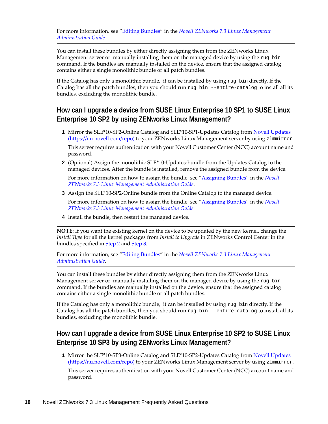You can install these bundles by either directly assigning them from the ZENworks Linux Management server or manually installing them on the managed device by using the rug bin command. If the bundles are manually installed on the device, ensure that the assigned catalog contains either a single monolithic bundle or all patch bundles.

If the Catalog has only a monolithic bundle, it can be installed by using rug bin directly. If the Catalog has all the patch bundles, then you should run rug bin --entire-catalog to install all its bundles, excluding the monolithic bundle.

## <span id="page-17-0"></span>**How can I upgrade a device from SUSE Linux Enterprise 10 SP1 to SUSE Linux Enterprise 10 SP2 by using ZENworks Linux Management?**

**1** Mirror the SLE\*10‐SP2‐Online Catalog and SLE\*10‐SP1‐Updates Catalog from Novell [Updates](https://nu.novell.com/repo) (https://nu.novell.com/repo) to your ZENworks Linux Management server by using zlmmirror.

This server requires authentication with your Novell Customer Center (NCC) account name and password.

<span id="page-17-2"></span>**2** (Optional) Assign the monolithic SLE\*10‐Updates‐bundle from the Updates Catalog to the managed devices. After the bundle is installed, remove the assigned bundle from the device.

For more information on how to assign the bundle, see "Assigning Bundles" in the *Novell ZENworks 7.3 Linux Management Administration Guide*.

<span id="page-17-3"></span>**3** Assign the SLE\*10-SP2-Online bundle from the Online Catalog to the managed device.

For more information on how to assign the bundle, see "Assigning Bundles" in the *Novell ZENworks 7.3 Linux Management Administration Guide*

**4** Install the bundle, then restart the managed device.

**NOTE**: If you want the existing kernel on the device to be updated by the new kernel, change the *Install Type* for all the kernel packages from *Install to Upgrade* in ZENworks Control Center in the bundles specified in [Step 2](#page-17-2) and [Step 3.](#page-17-3)

For more information, see "Editing Bundles" in the *Novell ZENworks 7.3 Linux Management Administration Guide*.

You can install these bundles by either directly assigning them from the ZENworks Linux Management server or manually installing them on the managed device by using the rug bin command. If the bundles are manually installed on the device, ensure that the assigned catalog contains either a single monolithic bundle or all patch bundles.

If the Catalog has only a monolithic bundle, it can be installed by using rug bin directly. If the Catalog has all the patch bundles, then you should run rug bin --entire-catalog to install all its bundles, excluding the monolithic bundle.

## <span id="page-17-1"></span>**How can I upgrade a device from SUSE Linux Enterprise 10 SP2 to SUSE Linux Enterprise 10 SP3 by using ZENworks Linux Management?**

**1** Mirror the SLE\*10‐SP3‐Online Catalog and SLE\*10‐SP2‐Updates Catalog from Novell [Updates](https://nu.novell.com/repo) (https://nu.novell.com/repo) to your ZENworks Linux Management server by using zlmmirror. This server requires authentication with your Novell Customer Center (NCC) account name and password.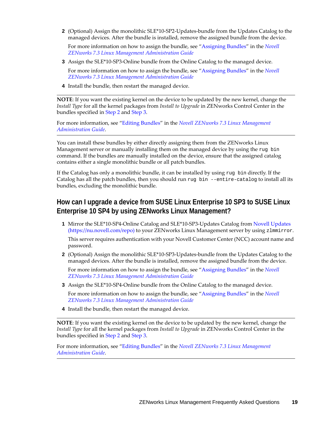<span id="page-18-1"></span>**2** (Optional) Assign the monolithic SLE\*10‐SP2‐Updates‐bundle from the Updates Catalog to the managed devices. After the bundle is installed, remove the assigned bundle from the device.

For more information on how to assign the bundle, see "Assigning Bundles" in the *Novell ZENworks 7.3 Linux Management Administration Guide*

- <span id="page-18-2"></span>**3** Assign the SLE\*10-SP3-Online bundle from the Online Catalog to the managed device.
	- For more information on how to assign the bundle, see "Assigning Bundles" in the *Novell ZENworks 7.3 Linux Management Administration Guide*
- **4** Install the bundle, then restart the managed device.

**NOTE**: If you want the existing kernel on the device to be updated by the new kernel, change the *Install Type* for all the kernel packages from *Install to Upgrade* in ZENworks Control Center in the bundles specified in [Step 2](#page-18-1) and [Step 3.](#page-18-2)

For more information, see "Editing Bundles" in the *Novell ZENworks 7.3 Linux Management Administration Guide*.

You can install these bundles by either directly assigning them from the ZENworks Linux Management server or manually installing them on the managed device by using the rug bin command. If the bundles are manually installed on the device, ensure that the assigned catalog contains either a single monolithic bundle or all patch bundles.

If the Catalog has only a monolithic bundle, it can be installed by using rug bin directly. If the Catalog has all the patch bundles, then you should run rug bin --entire-catalog to install all its bundles, excluding the monolithic bundle.

#### <span id="page-18-0"></span>**How can I upgrade a device from SUSE Linux Enterprise 10 SP3 to SUSE Linux Enterprise 10 SP4 by using ZENworks Linux Management?**

**1** Mirror the SLE\*10‐SP4‐Online Catalog and SLE\*10‐SP3‐Updates Catalog from Novell [Updates](https://nu.novell.com/repo) (https://nu.novell.com/repo) to your ZENworks Linux Management server by using zlmmirror.

This server requires authentication with your Novell Customer Center (NCC) account name and password.

**2** (Optional) Assign the monolithic SLE\*10‐SP3‐Updates‐bundle from the Updates Catalog to the managed devices. After the bundle is installed, remove the assigned bundle from the device.

For more information on how to assign the bundle, see "Assigning Bundles" in the *Novell ZENworks 7.3 Linux Management Administration Guide*

**3** Assign the SLE\*10-SP4-Online bundle from the Online Catalog to the managed device.

For more information on how to assign the bundle, see "Assigning Bundles" in the *Novell ZENworks 7.3 Linux Management Administration Guide*

**4** Install the bundle, then restart the managed device.

**NOTE**: If you want the existing kernel on the device to be updated by the new kernel, change the *Install Type* for all the kernel packages from *Install to Upgrade* in ZENworks Control Center in the bundles specified in [Step 2](#page-18-1) and [Step 3.](#page-18-2)

For more information, see "Editing Bundles" in the *Novell ZENworks 7.3 Linux Management Administration Guide*.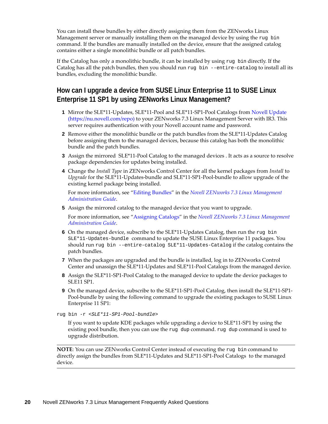You can install these bundles by either directly assigning them from the ZENworks Linux Management server or manually installing them on the managed device by using the rug bin command. If the bundles are manually installed on the device, ensure that the assigned catalog contains either a single monolithic bundle or all patch bundles.

If the Catalog has only a monolithic bundle, it can be installed by using rug bin directly. If the Catalog has all the patch bundles, then you should run rug bin --entire-catalog to install all its bundles, excluding the monolithic bundle.

## <span id="page-19-0"></span>**How can I upgrade a device from SUSE Linux Enterprise 11 to SUSE Linux Enterprise 11 SP1 by using ZENworks Linux Management?**

- **1** Mirror the SLE\*11‐Updates, SLE\*11‐Pool and SLE\*11‐SP1‐Pool Catalogs from Novell [Update](https://nu.novell.com/repo) (https://nu.novell.com/repo) to your ZENworks 7.3 Linux Management Server with IR3. This server requires authentication with your Novell account name and password.
- **2** Remove either the monolithic bundle or the patch bundles from the SLE\*11-Updates Catalog before assigning them to the managed devices, because this catalog has both the monolithic bundle and the patch bundles.
- **3** Assign the mirrored SLE\*11-Pool Catalog to the managed devices . It acts as a source to resolve package dependencies for updates being installed.
- **4** Change the *Install Type* in ZENworks Control Center for all the kernel packages from *Install* to *Upgrade* for the SLE\*11‐Updates‐bundle and SLE\*11‐SP1‐Pool‐bundle to allow upgrade of the existing kernel package being installed.

For more information, see "Editing Bundles" in the *Novell ZENworks 7.3 Linux Management Administration Guide*.

**5** Assign the mirrored catalog to the managed device that you want to upgrade.

For more information, see "Assigning Catalogs" in the *Novell ZENworks 7.3 Linux Management Administration Guide*.

- **6** On the managed device, subscribe to the SLE\*11-Updates Catalog, then run the rug bin SLE\*11-Updates-bundle command to update the SUSE Linux Enterprise 11 packages. You should run rug bin --entire-catalog SLE\*11-Updates-Catalog if the catalog contains the patch bundles.
- **7** When the packages are upgraded and the bundle is installed, log in to ZENworks Control Center and unassign the SLE\*11‐Updates and SLE\*11‐Pool Catalogs from the managed device.
- **8** Assign the SLE\*11‐SP1‐Pool Catalog to the managed device to update the device packages to SLE11 SP1.
- **9** On the managed device, subscribe to the SLE\*11-SP1-Pool Catalog, then install the SLE\*11-SP1-Pool-bundle by using the following command to upgrade the existing packages to SUSE Linux Enterprise 11 SP1:
- rug bin -r <*SLE\*11-SP1-Pool-bundle*>

If you want to update KDE packages while upgrading a device to SLE\*11‐SP1 by using the existing pool bundle, then you can use the rug dup command. rug dup command is used to upgrade distribution.

**NOTE**: You can use ZENworks Control Center instead of executing the rug bin command to directly assign the bundles from SLE\*11‐Updates and SLE\*11‐SP1‐Pool Catalogs to the managed device.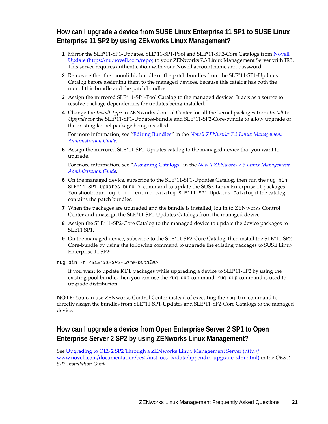#### <span id="page-20-1"></span>**How can I upgrade a device from SUSE Linux Enterprise 11 SP1 to SUSE Linux Enterprise 11 SP2 by using ZENworks Linux Management?**

- **1** Mirror the SLE\*11‐SP1‐Updates, SLE\*11‐SP1‐Pool and SLE\*11‐SP2‐Core Catalogs from [Novell](https://nu.novell.com/repo) [Update](https://nu.novell.com/repo) (https://nu.novell.com/repo) to your ZENworks 7.3 Linux Management Server with IR3. This server requires authentication with your Novell account name and password.
- **2** Remove either the monolithic bundle or the patch bundles from the SLE\*11-SP1-Updates Catalog before assigning them to the managed devices, because this catalog has both the monolithic bundle and the patch bundles.
- **3** Assign the mirrored SLE<sup>\*</sup>11-SP1-Pool Catalog to the managed devices. It acts as a source to resolve package dependencies for updates being installed.
- **4** Change the *Install Type* in ZENworks Control Center for all the kernel packages from *Install* to *Upgrade* for the SLE\*11‐SP1‐Updates‐bundle and SLE\*11‐SP2‐Core‐bundle to allow upgrade of the existing kernel package being installed.

For more information, see "Editing Bundles" in the *Novell ZENworks 7.3 Linux Management Administration Guide*.

**5** Assign the mirrored SLE\*11‐SP1‐Updates catalog to the managed device that you want to upgrade.

For more information, see "Assigning Catalogs" in the *Novell ZENworks 7.3 Linux Management Administration Guide*.

- **6** On the managed device, subscribe to the SLE<sup>\*</sup>11-SP1-Updates Catalog, then run the rug bin SLE\*11-SP1-Updates-bundle command to update the SUSE Linux Enterprise 11 packages. You should run rug bin --entire-catalog SLE\*11-SP1-Updates-Catalog if the catalog contains the patch bundles.
- **7** When the packages are upgraded and the bundle is installed, log in to ZENworks Control Center and unassign the SLE\*11‐SP1‐Updates Catalogs from the managed device.
- **8** Assign the SLE\*11‐SP2‐Core Catalog to the managed device to update the device packages to SLE11 SP1.
- **9** On the managed device, subscribe to the SLE\*11‐SP2‐Core Catalog, then install the SLE\*11‐SP2‐ Core-bundle by using the following command to upgrade the existing packages to SUSE Linux Enterprise 11 SP2:

rug bin -r <*SLE\*11-SP2-Core-bundle*>

If you want to update KDE packages while upgrading a device to SLE\*11‐SP2 by using the existing pool bundle, then you can use the rug dup command. rug dup command is used to upgrade distribution.

**NOTE**: You can use ZENworks Control Center instead of executing the rug bin command to directly assign the bundles from SLE\*11‐SP1‐Updates and SLE\*11‐SP2‐Core Catalogs to the managed device.

#### <span id="page-20-0"></span>**How can I upgrade a device from Open Enterprise Server 2 SP1 to Open Enterprise Server 2 SP2 by using ZENworks Linux Management?**

See Upgrading to OES 2 SP2 Through a ZENworks Linux [Management](http://www.novell.com/documentation/oes2/inst_oes_lx/data/appendix_upgrade_zlm.html) Server (http:// www.novell.com/documentation/oes2/inst\_oes\_lx/data/appendix\_upgrade\_zlm.html) in the *OES 2 SP2 Installation Guide*.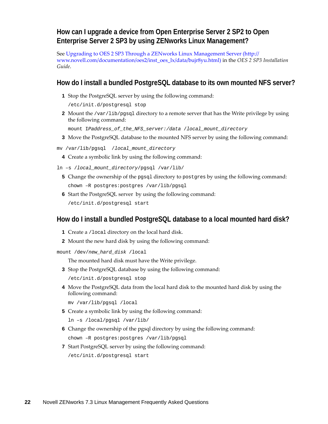#### <span id="page-21-2"></span>**How can I upgrade a device from Open Enterprise Server 2 SP2 to Open Enterprise Server 2 SP3 by using ZENworks Linux Management?**

See Upgrading to OES 2 SP3 Through a ZENworks Linux [Management](http://www.novell.com/documentation/oes2/inst_oes_lx/data/bujr8yu.html) Server (http:// www.novell.com/documentation/oes2/inst\_oes\_lx/data/bujr8yu.html) in the *OES 2 SP3 Installation Guide*.

#### <span id="page-21-0"></span>**How do I install a bundled PostgreSQL database to its own mounted NFS server?**

**1** Stop the PostgreSQL server by using the following command:

/etc/init.d/postgresql stop

**2** Mount the /var/lib/pgsql directory to a remote server that has the Write privilege by using the following command:

mount I*Paddress\_of\_the\_NFS\_server:/data* /*local\_mount\_directory*

- **3** Move the PostgreSQL database to the mounted NFS server by using the following command:
- mv /var/lib/pgsql /*local\_mount\_directory*
	- **4** Create a symbolic link by using the following command:
- ln –s /*local\_mount\_directory*/pgsql /var/lib/
	- **5** Change the ownership of the pgsql directory to postgres by using the following command: chown –R postgres:postgres /var/lib/pgsql
	- **6** Start the PostgreSQL server by using the following command: /etc/init.d/postgresql start

#### <span id="page-21-1"></span>**How do I install a bundled PostgreSQL database to a local mounted hard disk?**

- **1** Create a /local directory on the local hard disk.
- **2** Mount the new hard disk by using the following command:

mount /dev/*new\_hard\_disk* /local

The mounted hard disk must have the Write privilege.

**3** Stop the PostgreSQL database by using the following command:

/etc/init.d/postgresql stop

**4** Move the PostgreSQL data from the local hard disk to the mounted hard disk by using the following command:

mv /var/lib/pgsql /local

**5** Create a symbolic link by using the following command:

ln –s /local/pgsql /var/lib/

**6** Change the ownership of the pgsql directory by using the following command:

chown –R postgres:postgres /var/lib/pgsql

**7** Start PostgreSQL server by using the following command:

/etc/init.d/postgresql start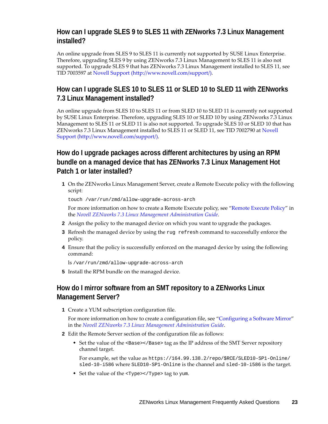#### <span id="page-22-3"></span>**How can I upgrade SLES 9 to SLES 11 with ZENworks 7.3 Linux Management installed?**

An online upgrade from SLES 9 to SLES 11 is currently not supported by SUSE Linux Enterprise. Therefore, upgrading SLES 9 by using ZENworks 7.3 Linux Management to SLES 11 is also not supported. To upgrade SLES 9 that has ZENworks 7.3 Linux Management installed to SLES 11, see TID 7003597 at Novell [Support](http://www.novell.com/support/) (http://www.novell.com/support/).

### <span id="page-22-0"></span>**How can I upgrade SLES 10 to SLES 11 or SLED 10 to SLED 11 with ZENworks 7.3 Linux Management installed?**

An online upgrade from SLES 10 to SLES 11 or from SLED 10 to SLED 11 is currently not supported by SUSE Linux Enterprise. Therefore, upgrading SLES 10 or SLED 10 by using ZENworks 7.3 Linux Management to SLES 11 or SLED 11 is also not supported. To upgrade SLES 10 or SLED 10 that has ZENworks 7.3 Linux Management installed to SLES 11 or SLED 11, see TID 7002790 at [Novell](http://www.novell.com/support/) [Support](http://www.novell.com/support/) (http://www.novell.com/support/).

#### <span id="page-22-1"></span>**How do I upgrade packages across different architectures by using an RPM bundle on a managed device that has ZENworks 7.3 Linux Management Hot Patch 1 or later installed?**

**1** On the ZENworks Linux Management Server, create a Remote Execute policy with the following script:

touch /var/run/zmd/allow-upgrade-across-arch

For more information on how to create a Remote Execute policy, see "Remote Execute Policy" in the *Novell ZENworks 7.3 Linux Management Administration Guide*.

- **2** Assign the policy to the managed device on which you want to upgrade the packages.
- **3** Refresh the managed device by using the rug refresh command to successfully enforce the policy.
- **4** Ensure that the policy is successfully enforced on the managed device by using the following command:

ls /var/run/zmd/allow-upgrade-across-arch

**5** Install the RPM bundle on the managed device.

#### <span id="page-22-2"></span>**How do I mirror software from an SMT repository to a ZENworks Linux Management Server?**

**1** Create a YUM subscription configuration file.

For more information on how to create a configuration file, see "Configuring a Software Mirror" in the *Novell ZENworks 7.3 Linux Management Administration Guide*.

- **2** Edit the Remote Server section of the configuration file as follows:
	- Set the value of the <Base></Base> tag as the IP address of the SMT Server repository channel target.

For example, set the value as https://164.99.138.2/repo/\$RCE/SLED10-SP1-Online/ sled-10-i586 where SLED10-SP1-Online is the channel and sled-10-i586 is the target.

Set the value of the <Type></Type> tag to yum.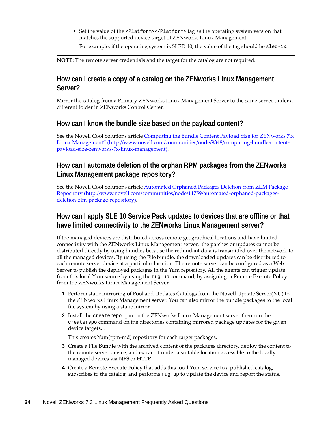Set the value of the <Platform></Platform> tag as the operating system version that matches the supported device target of ZENworks Linux Management.

For example, if the operating system is SLED 10, the value of the tag should be sled-10.

**NOTE**: The remote server credentials and the target for the catalog are not required.

#### <span id="page-23-1"></span>**How can I create a copy of a catalog on the ZENworks Linux Management Server?**

Mirror the catalog from a Primary ZENworks Linux Management Server to the same server under a different folder in ZENworks Control Center.

#### <span id="page-23-0"></span>**How can I know the bundle size based on the payload content?**

See the Novell Cool Solutions article [Computing](http://www.novell.com/communities/node/9348/computing-bundle-content-payload-size-zenworks-7x-linux-management) the Bundle Content Payload Size for ZENworks 7.x Linux [Management"](http://www.novell.com/communities/node/9348/computing-bundle-content-payload-size-zenworks-7x-linux-management) (http://www.novell.com/communities/node/9348/computing‐bundle‐content‐ payload‐size‐zenworks‐7x‐linux‐management).

#### <span id="page-23-2"></span>**How can I automate deletion of the orphan RPM packages from the ZENworks Linux Management package repository?**

See the Novell Cool Solutions article [Automated](http://www.novell.com/communities/node/11759/automated-orphaned-packages-deletion-zlm-package-repository) Orphaned Packages Deletion from ZLM Package [Repository](http://www.novell.com/communities/node/11759/automated-orphaned-packages-deletion-zlm-package-repository) (http://www.novell.com/communities/node/11759/automated‐orphaned‐packages‐ deletion‐zlm‐package‐repository).

#### <span id="page-23-3"></span>**How can I apply SLE 10 Service Pack updates to devices that are offline or that have limited connectivity to the ZENworks Linux Management server?**

If the managed devices are distributed across remote geographical locations and have limited connectivity with the ZENworks Linux Management server, the patches or updates cannot be distributed directly by using bundles because the redundant data is transmitted over the network to all the managed devices. By using the File bundle, the downloaded updates can be distributed to each remote server device at a particular location. The remote server can be configured as a Web Server to publish the deployed packages in the Yum repository. All the agents can trigger update from this local Yum source by using the rug up command, by assigning a Remote Execute Policy from the ZENworks Linux Management Server.

- **1** Perform static mirroring of Pool and Updates Catalogs from the Novell Update Server(NU) to the ZENworks Linux Management server. You can also mirror the bundle packages to the local file system by using a static mirror.
- **2** Install the createrepo rpm on the ZENworks Linux Management server then run the createrepo command on the directories containing mirrored package updates for the given device targets. .

This creates Yum(rpm‐md) repository for each target packages.

- **3** Create a File Bundle with the archived content of the packages directory, deploy the content to the remote server device, and extract it under a suitable location accessible to the locally managed devices via NFS or HTTP.
- **4** Create a Remote Execute Policy that adds this local Yum service to a published catalog, subscribes to the catalog, and performs rug up to update the device and report the status.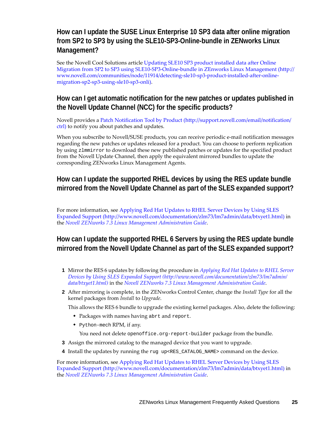### <span id="page-24-1"></span>**How can I update the SUSE Linux Enterprise 10 SP3 data after online migration from SP2 to SP3 by using the SLE10-SP3-Online-bundle in ZENworks Linux Management?**

See the Novell Cool Solutions article [Updating](http://www.novell.com/communities/node/11914/detecting-sle10-sp3-product-installed-after-online-migration-sp2-sp3-using-sle10-sp3-onli) SLE10 SP3 product installed data after Online Migration from SP2 to SP3 using SLE10‐SP3‐Online‐bundle in ZEnworks Linux [Management](http://www.novell.com/communities/node/11914/detecting-sle10-sp3-product-installed-after-online-migration-sp2-sp3-using-sle10-sp3-onli) (http:// www.novell.com/communities/node/11914/detecting‐sle10‐sp3‐product‐installed‐after‐online‐ migration‐sp2‐sp3‐using‐sle10‐sp3‐onli).

#### <span id="page-24-0"></span>**How can I get automatic notification for the new patches or updates published in the Novell Update Channel (NCC) for the specific products?**

Novell provides a Patch [Notification](http://support.novell.com/email/notification/ctrl) Tool by Product (http://support.novell.com/email/notification/ ctrl) to notify you about patches and updates.

When you subscribe to Novell/SUSE products, you can receive periodic e-mail notification messages regarding the new patches or updates released for a product. You can choose to perform replication by using zlmmirror to download these new published patches or updates for the specified product from the Novell Update Channel, then apply the equivalent mirrored bundles to update the corresponding ZENworks Linux Management Agents.

#### <span id="page-24-3"></span>**How can I update the supported RHEL devices by using the RES update bundle mirrored from the Novell Update Channel as part of the SLES expanded support?**

For more information, see [Applying](http://www.novell.com/documentation/zlm73/lm7admin/data/btxyet1.html) Red Hat Updates to RHEL Server Devices by Using SLES [Expanded](http://www.novell.com/documentation/zlm73/lm7admin/data/btxyet1.html) Support (http://www.novell.com/documentation/zlm73/lm7admin/data/btxyet1.html) in the *Novell ZENworks 7.3 Linux Management Administration Guide*.

#### <span id="page-24-2"></span>**How can I update the supported RHEL 6 Servers by using the RES update bundle mirrored from the Novell Update Channel as part of the SLES expanded support?**

- **1** Mirror the RES 6 updates by following the procedure in *[Applying](http://www.novell.com/documentation/zlm73/lm7admin/data/btxyet1.html) Red Hat Updates to RHEL Server Devices by Using SLES [Expanded](http://www.novell.com/documentation/zlm73/lm7admin/data/btxyet1.html) Support (http://www.novell.com/documentation/zlm73/lm7admin/ data/btxyet1.html)* in the *Novell ZENworks 7.3 Linux Management Administration Guide*.
- **2** After mirroring is complete, in the ZENworks Control Center, change the *Install Type* for all the kernel packages from *Install* to *Upgrade*.

This allows the RES 6 bundle to upgrade the existing kernel packages. Also, delete the following:

- Packages with names having abrt and report.
- $\bullet$  Python-mech RPM, if any.

You need not delete openoffice.org-report-builder package from the bundle.

- **3** Assign the mirrored catalog to the managed device that you want to upgrade.
- **4** Install the updates by running the rug up<RES\_CATALOG\_NAME> command on the device.

For more information, see [Applying](http://www.novell.com/documentation/zlm73/lm7admin/data/btxyet1.html) Red Hat Updates to RHEL Server Devices by Using SLES [Expanded](http://www.novell.com/documentation/zlm73/lm7admin/data/btxyet1.html) Support (http://www.novell.com/documentation/zlm73/lm7admin/data/btxyet1.html) in the *Novell ZENworks 7.3 Linux Management Administration Guide*.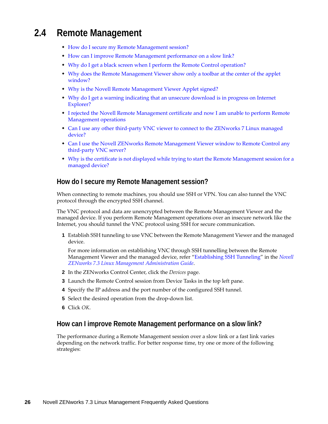# <span id="page-25-0"></span>**2.4 Remote Management**

- How do I secure my Remote [Management](#page-25-1) session?
- How can I improve Remote [Management](#page-25-2) performance on a slow link?
- Why do I get a black screen when I perform the Remote Control [operation?](#page-26-0)
- Why does the Remote [Management](#page-26-1) Viewer show only a toolbar at the center of the applet [window?](#page-26-1)
- Why is the Novell Remote [Management](#page-26-2) Viewer Applet signed?
- Why do I get a warning indicating that an unsecure [download](#page-27-1) is in progress on Internet [Explorer?](#page-27-1)
- I rejected the Novell Remote [Management](#page-27-2) certificate and now I am unable to perform Remote [Management](#page-27-2) operations
- ◆ Can I use any other third-party VNC viewer to connect to the [ZENworks](#page-27-3) 7 Linux managed [device?](#page-27-3)
- Can I use the Novell ZENworks Remote [Management](#page-27-4) Viewer window to Remote Control any third‐party VNC [server?](#page-27-4)
- Why is the certificate is not displayed while trying to start the Remote [Management](#page-27-5) session for a [managed](#page-27-5) device?

#### <span id="page-25-1"></span>**How do I secure my Remote Management session?**

When connecting to remote machines, you should use SSH or VPN. You can also tunnel the VNC protocol through the encrypted SSH channel.

The VNC protocol and data are unencrypted between the Remote Management Viewer and the managed device. If you perform Remote Management operations over an insecure network like the Internet, you should tunnel the VNC protocol using SSH for secure communication.

**1** Establish SSH tunneling to use VNC between the Remote Management Viewer and the managed device.

For more information on establishing VNC through SSH tunnelling between the Remote Management Viewer and the managed device, refer "Establishing SSH Tunneling" in the *Novell ZENworks 7.3 Linux Management Administration Guide*.

- **2** In the ZENworks Control Center, click the *Devices* page.
- **3** Launch the Remote Control session from Device Tasks in the top left pane.
- **4** Specify the IP address and the port number of the configured SSH tunnel.
- **5** Select the desired operation from the drop-down list.
- **6** Click *OK*.

#### <span id="page-25-2"></span>**How can I improve Remote Management performance on a slow link?**

The performance during a Remote Management session over a slow link or a fast link varies depending on the network traffic. For better response time, try one or more of the following strategies: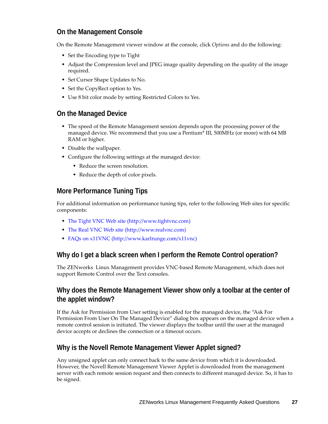#### **On the Management Console**

On the Remote Management viewer window at the console, click *Options* and do the following:

- Set the Encoding type to Tight
- Adjust the Compression level and JPEG image quality depending on the quality of the image required.
- Set Cursor Shape Updates to No.
- Set the CopyRect option to Yes.
- Use 8 bit color mode by setting Restricted Colors to Yes.

#### **On the Managed Device**

- The speed of the Remote Management session depends upon the processing power of the managed device. We recommend that you use a Pentium\* III, 500MHz (or more) with 64 MB RAM or higher.
- Disable the wallpaper.
- Configure the following settings at the managed device:
	- Reduce the screen resolution.
	- Reduce the depth of color pixels.

#### **More Performance Tuning Tips**

For additional information on performance tuning tips, refer to the following Web sites for specific components:

- The [Tight](http://www.tightvnc.com) VNC Web site (http://www.tightvnc.com)
- The Real [VNC](http://www.realvnc.com) Web site (http://www.realvnc.com)
- FAQs on [x11VNC](http://www.karlrunge.com/x11vnc) (http://www.karlrunge.com/x11vnc)

#### <span id="page-26-0"></span>**Why do I get a black screen when I perform the Remote Control operation?**

The ZENworks Linux Management provides VNC‐based Remote Management, which does not support Remote Control over the Text consoles.

#### <span id="page-26-1"></span>**Why does the Remote Management Viewer show only a toolbar at the center of the applet window?**

If the Ask for Permission from User setting is enabled for the managed device, the "Ask For Permission From User On The Managed Device" dialog box appears on the managed device when a remote control session is initiated. The viewer displays the toolbar until the user at the managed device accepts or declines the connection or a timeout occurs.

#### <span id="page-26-2"></span>**Why is the Novell Remote Management Viewer Applet signed?**

Any unsigned applet can only connect back to the same device from which it is downloaded. However, the Novell Remote Management Viewer Applet is downloaded from the management server with each remote session request and then connects to different managed device. So, it has to be signed.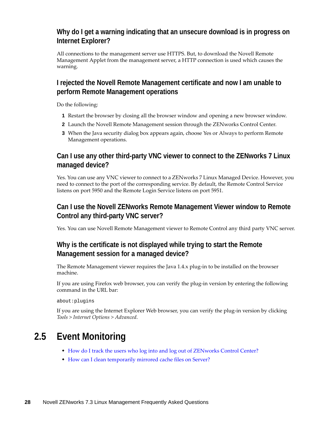#### <span id="page-27-1"></span>**Why do I get a warning indicating that an unsecure download is in progress on Internet Explorer?**

All connections to the management server use HTTPS. But, to download the Novell Remote Management Applet from the management server, a HTTP connection is used which causes the warning.

#### <span id="page-27-2"></span>**I rejected the Novell Remote Management certificate and now I am unable to perform Remote Management operations**

Do the following:

- **1** Restart the browser by closing all the browser window and opening a new browser window.
- **2** Launch the Novell Remote Management session through the ZENworks Control Center.
- **3** When the Java security dialog box appears again, choose Yes or Always to perform Remote Management operations.

### <span id="page-27-3"></span>**Can I use any other third-party VNC viewer to connect to the ZENworks 7 Linux managed device?**

Yes. You can use any VNC viewer to connect to a ZENworks 7 Linux Managed Device. However, you need to connect to the port of the corresponding service. By default, the Remote Control Service listens on port 5950 and the Remote Login Service listens on port 5951.

#### <span id="page-27-4"></span>**Can I use the Novell ZENworks Remote Management Viewer window to Remote Control any third-party VNC server?**

Yes. You can use Novell Remote Management viewer to Remote Control any third party VNC server.

#### <span id="page-27-5"></span>**Why is the certificate is not displayed while trying to start the Remote Management session for a managed device?**

The Remote Management viewer requires the Java 1.4.x plug-in to be installed on the browser machine.

If you are using Firefox web browser, you can verify the plug‐in version by entering the following command in the URL bar:

about:plugins

If you are using the Internet Explorer Web browser, you can verify the plug‐in version by clicking *Tools > Internet Options > Advanced*.

# <span id="page-27-0"></span>**2.5 Event Monitoring**

- How do I track the users who log into and log out of [ZENworks](#page-28-0) Control Center?
- How can I clean [temporarily](#page-28-1) mirrored cache files on Server?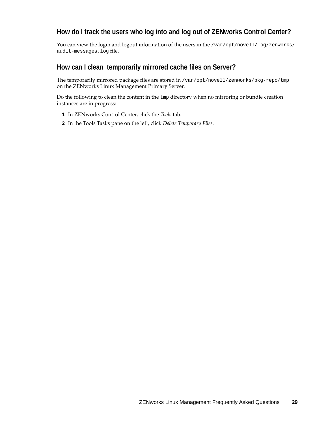#### <span id="page-28-0"></span>**How do I track the users who log into and log out of ZENworks Control Center?**

You can view the login and logout information of the users in the /var/opt/novell/log/zenworks/ audit-messages.log file.

#### <span id="page-28-1"></span>**How can I clean temporarily mirrored cache files on Server?**

The temporarily mirrored package files are stored in /var/opt/novell/zenworks/pkg-repo/tmp on the ZENworks Linux Management Primary Server.

Do the following to clean the content in the tmp directory when no mirroring or bundle creation instances are in progress:

- **1** In ZENworks Control Center, click the *Tools* tab.
- **2** In the Tools Tasks pane on the left, click *Delete Temporary Files.*